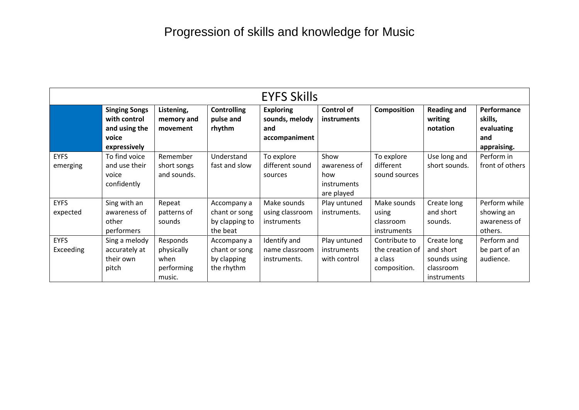|                          | <b>EYFS Skills</b>                                                             |                                                        |                                                            |                                                            |                                                                 |                                                             |                                                                      |                                                            |
|--------------------------|--------------------------------------------------------------------------------|--------------------------------------------------------|------------------------------------------------------------|------------------------------------------------------------|-----------------------------------------------------------------|-------------------------------------------------------------|----------------------------------------------------------------------|------------------------------------------------------------|
|                          | <b>Singing Songs</b><br>with control<br>and using the<br>voice<br>expressively | Listening,<br>memory and<br>movement                   | <b>Controlling</b><br>pulse and<br>rhythm                  | <b>Exploring</b><br>sounds, melody<br>and<br>accompaniment | <b>Control of</b><br><b>instruments</b>                         | <b>Composition</b>                                          | <b>Reading and</b><br>writing<br>notation                            | Performance<br>skills,<br>evaluating<br>and<br>appraising. |
| <b>EYFS</b><br>emerging  | To find voice<br>and use their<br>voice<br>confidently                         | Remember<br>short songs<br>and sounds.                 | Understand<br>fast and slow                                | To explore<br>different sound<br>sources                   | Show<br>awareness of<br>how<br><i>instruments</i><br>are played | To explore<br>different<br>sound sources                    | Use long and<br>short sounds.                                        | Perform in<br>front of others                              |
| <b>EYFS</b><br>expected  | Sing with an<br>awareness of<br>other<br>performers                            | Repeat<br>patterns of<br>sounds                        | Accompany a<br>chant or song<br>by clapping to<br>the beat | Make sounds<br>using classroom<br><i>instruments</i>       | Play untuned<br>instruments.                                    | Make sounds<br>using<br>classroom<br><i>instruments</i>     | Create long<br>and short<br>sounds.                                  | Perform while<br>showing an<br>awareness of<br>others.     |
| <b>EYFS</b><br>Exceeding | Sing a melody<br>accurately at<br>their own<br>pitch                           | Responds<br>physically<br>when<br>performing<br>music. | Accompany a<br>chant or song<br>by clapping<br>the rhythm  | Identify and<br>name classroom<br>instruments.             | Play untuned<br><i>instruments</i><br>with control              | Contribute to<br>the creation of<br>a class<br>composition. | Create long<br>and short<br>sounds using<br>classroom<br>instruments | Perform and<br>be part of an<br>audience.                  |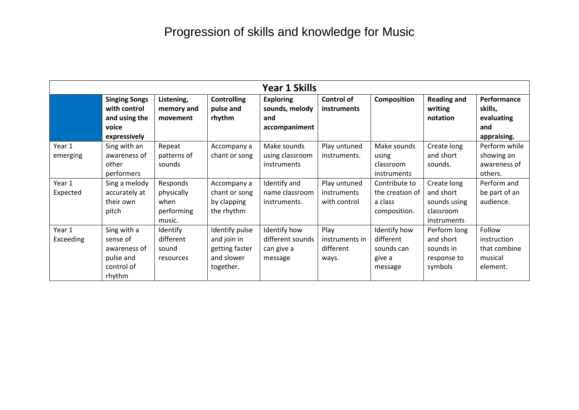|                            | <b>Year 1 Skills</b>                                                           |                                                        |                                                                            |                                                            |                                                    |                                                              |                                                                             |                                                              |
|----------------------------|--------------------------------------------------------------------------------|--------------------------------------------------------|----------------------------------------------------------------------------|------------------------------------------------------------|----------------------------------------------------|--------------------------------------------------------------|-----------------------------------------------------------------------------|--------------------------------------------------------------|
|                            | <b>Singing Songs</b><br>with control<br>and using the<br>voice<br>expressively | Listening,<br>memory and<br>movement                   | <b>Controlling</b><br>pulse and<br>rhythm                                  | <b>Exploring</b><br>sounds, melody<br>and<br>accompaniment | <b>Control of</b><br><b>instruments</b>            | <b>Composition</b>                                           | <b>Reading and</b><br>writing<br>notation                                   | Performance<br>skills,<br>evaluating<br>and<br>appraising.   |
| Year 1<br>emerging         | Sing with an<br>awareness of<br>other<br>performers                            | Repeat<br>patterns of<br>sounds                        | Accompany a<br>chant or song                                               | Make sounds<br>using classroom<br><i>instruments</i>       | Play untuned<br>instruments.                       | Make sounds<br>using<br>classroom<br><i>instruments</i>      | Create long<br>and short<br>sounds.                                         | Perform while<br>showing an<br>awareness of<br>others.       |
| Year 1<br>Expected         | Sing a melody<br>accurately at<br>their own<br>pitch                           | Responds<br>physically<br>when<br>performing<br>music. | Accompany a<br>chant or song<br>by clapping<br>the rhythm                  | Identify and<br>name classroom<br>instruments.             | Play untuned<br><i>instruments</i><br>with control | Contribute to<br>the creation of<br>a class<br>composition.  | Create long<br>and short<br>sounds using<br>classroom<br><i>instruments</i> | Perform and<br>be part of an<br>audience.                    |
| Year 1<br><b>Exceeding</b> | Sing with a<br>sense of<br>awareness of<br>pulse and<br>control of<br>rhythm   | Identify<br>different<br>sound<br>resources            | Identify pulse<br>and join in<br>getting faster<br>and slower<br>together. | Identify how<br>different sounds<br>can give a<br>message  | Play<br>instruments in<br>different<br>ways.       | Identify how<br>different<br>sounds can<br>give a<br>message | Perform long<br>and short<br>sounds in<br>response to<br>symbols            | Follow<br>instruction<br>that combine<br>musical<br>element. |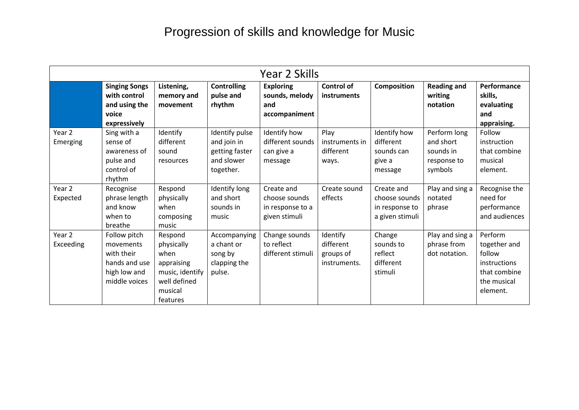|                     | Year 2 Skills                                                                             |                                                                                                       |                                                                            |                                                                  |                                                    |                                                                  |                                                                  |                                                                                              |
|---------------------|-------------------------------------------------------------------------------------------|-------------------------------------------------------------------------------------------------------|----------------------------------------------------------------------------|------------------------------------------------------------------|----------------------------------------------------|------------------------------------------------------------------|------------------------------------------------------------------|----------------------------------------------------------------------------------------------|
|                     | <b>Singing Songs</b><br>with control<br>and using the<br>voice<br>expressively            | Listening,<br>memory and<br>movement                                                                  | <b>Controlling</b><br>pulse and<br>rhythm                                  | <b>Exploring</b><br>sounds, melody<br>and<br>accompaniment       | <b>Control of</b><br><b>instruments</b>            | <b>Composition</b>                                               | <b>Reading and</b><br>writing<br>notation                        | Performance<br>skills,<br>evaluating<br>and<br>appraising.                                   |
| Year 2<br>Emerging  | Sing with a<br>sense of<br>awareness of<br>pulse and<br>control of<br>rhythm              | Identify<br>different<br>sound<br>resources                                                           | Identify pulse<br>and join in<br>getting faster<br>and slower<br>together. | Identify how<br>different sounds<br>can give a<br>message        | Play<br>instruments in<br>different<br>ways.       | Identify how<br>different<br>sounds can<br>give a<br>message     | Perform long<br>and short<br>sounds in<br>response to<br>symbols | Follow<br>instruction<br>that combine<br>musical<br>element.                                 |
| Year 2<br>Expected  | Recognise<br>phrase length<br>and know<br>when to<br>breathe                              | Respond<br>physically<br>when<br>composing<br>music                                                   | Identify long<br>and short<br>sounds in<br>music                           | Create and<br>choose sounds<br>in response to a<br>given stimuli | Create sound<br>effects                            | Create and<br>choose sounds<br>in response to<br>a given stimuli | Play and sing a<br>notated<br>phrase                             | Recognise the<br>need for<br>performance<br>and audiences                                    |
| Year 2<br>Exceeding | Follow pitch<br>movements<br>with their<br>hands and use<br>high low and<br>middle voices | Respond<br>physically<br>when<br>appraising<br>music, identify<br>well defined<br>musical<br>features | Accompanying<br>a chant or<br>song by<br>clapping the<br>pulse.            | Change sounds<br>to reflect<br>different stimuli                 | Identify<br>different<br>groups of<br>instruments. | Change<br>sounds to<br>reflect<br>different<br>stimuli           | Play and sing a<br>phrase from<br>dot notation.                  | Perform<br>together and<br>follow<br>instructions<br>that combine<br>the musical<br>element. |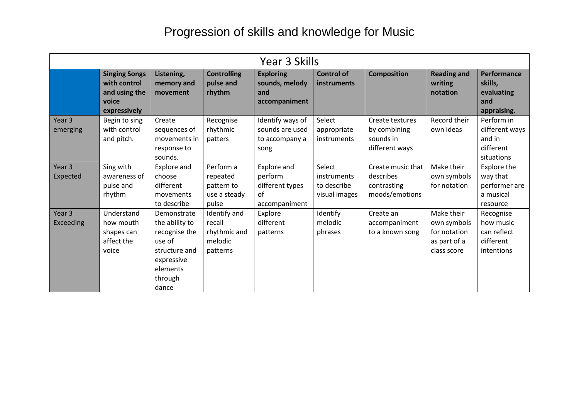|                                | Year 3 Skills                                                                  |                                                                                                                         |                                                               |                                                                  |                                                       |                                                                 |                                                                          |                                                                   |
|--------------------------------|--------------------------------------------------------------------------------|-------------------------------------------------------------------------------------------------------------------------|---------------------------------------------------------------|------------------------------------------------------------------|-------------------------------------------------------|-----------------------------------------------------------------|--------------------------------------------------------------------------|-------------------------------------------------------------------|
|                                | <b>Singing Songs</b><br>with control<br>and using the<br>voice<br>expressively | Listening,<br>memory and<br>movement                                                                                    | <b>Controlling</b><br>pulse and<br>rhythm                     | <b>Exploring</b><br>sounds, melody<br>and<br>accompaniment       | <b>Control of</b><br><b>instruments</b>               | <b>Composition</b>                                              | <b>Reading and</b><br>writing<br>notation                                | <b>Performance</b><br>skills,<br>evaluating<br>and<br>appraising. |
| Year <sub>3</sub><br>emerging  | Begin to sing<br>with control<br>and pitch.                                    | Create<br>sequences of<br>movements in<br>response to<br>sounds.                                                        | Recognise<br>rhythmic<br>patters                              | Identify ways of<br>sounds are used<br>to accompany a<br>song    | Select<br>appropriate<br>instruments                  | Create textures<br>by combining<br>sounds in<br>different ways  | Record their<br>own ideas                                                | Perform in<br>different ways<br>and in<br>different<br>situations |
| Year 3<br>Expected             | Sing with<br>awareness of<br>pulse and<br>rhythm                               | Explore and<br>choose<br>different<br>movements<br>to describe                                                          | Perform a<br>repeated<br>pattern to<br>use a steady<br>pulse  | Explore and<br>perform<br>different types<br>of<br>accompaniment | Select<br>instruments<br>to describe<br>visual images | Create music that<br>describes<br>contrasting<br>moods/emotions | Make their<br>own symbols<br>for notation                                | Explore the<br>way that<br>performer are<br>a musical<br>resource |
| Year <sub>3</sub><br>Exceeding | Understand<br>how mouth<br>shapes can<br>affect the<br>voice                   | Demonstrate<br>the ability to<br>recognise the<br>use of<br>structure and<br>expressive<br>elements<br>through<br>dance | Identify and<br>recall<br>rhythmic and<br>melodic<br>patterns | Explore<br>different<br>patterns                                 | Identify<br>melodic<br>phrases                        | Create an<br>accompaniment<br>to a known song                   | Make their<br>own symbols<br>for notation<br>as part of a<br>class score | Recognise<br>how music<br>can reflect<br>different<br>intentions  |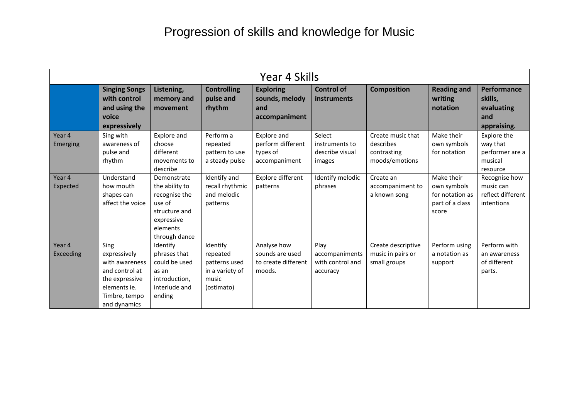|                     | Year 4 Skills                                                                                                               |                                                                                                                      |                                                                                 |                                                                 |                                                        |                                                                 |                                                                          |                                                                   |
|---------------------|-----------------------------------------------------------------------------------------------------------------------------|----------------------------------------------------------------------------------------------------------------------|---------------------------------------------------------------------------------|-----------------------------------------------------------------|--------------------------------------------------------|-----------------------------------------------------------------|--------------------------------------------------------------------------|-------------------------------------------------------------------|
|                     | <b>Singing Songs</b><br>with control<br>and using the<br>voice<br>expressively                                              | Listening,<br>memory and<br>movement                                                                                 | <b>Controlling</b><br>pulse and<br>rhythm                                       | <b>Exploring</b><br>sounds, melody<br>and<br>accompaniment      | <b>Control of</b><br>instruments                       | <b>Composition</b>                                              | <b>Reading and</b><br>writing<br>notation                                | <b>Performance</b><br>skills,<br>evaluating<br>and<br>appraising. |
| Year 4<br>Emerging  | Sing with<br>awareness of<br>pulse and<br>rhythm                                                                            | Explore and<br>choose<br>different<br>movements to<br>describe                                                       | Perform a<br>repeated<br>pattern to use<br>a steady pulse                       | Explore and<br>perform different<br>types of<br>accompaniment   | Select<br>instruments to<br>describe visual<br>images  | Create music that<br>describes<br>contrasting<br>moods/emotions | Make their<br>own symbols<br>for notation                                | Explore the<br>way that<br>performer are a<br>musical<br>resource |
| Year 4<br>Expected  | Understand<br>how mouth<br>shapes can<br>affect the voice                                                                   | Demonstrate<br>the ability to<br>recognise the<br>use of<br>structure and<br>expressive<br>elements<br>through dance | Identify and<br>recall rhythmic<br>and melodic<br>patterns                      | Explore different<br>patterns                                   | Identify melodic<br>phrases                            | Create an<br>accompaniment to<br>a known song                   | Make their<br>own symbols<br>for notation as<br>part of a class<br>score | Recognise how<br>music can<br>reflect different<br>intentions     |
| Year 4<br>Exceeding | Sing<br>expressively<br>with awareness<br>and control at<br>the expressive<br>elements ie.<br>Timbre, tempo<br>and dynamics | Identify<br>phrases that<br>could be used<br>as an<br>introduction,<br>interlude and<br>ending                       | Identify<br>repeated<br>patterns used<br>in a variety of<br>music<br>(ostimato) | Analyse how<br>sounds are used<br>to create different<br>moods. | Play<br>accompaniments<br>with control and<br>accuracy | Create descriptive<br>music in pairs or<br>small groups         | Perform using<br>a notation as<br>support                                | Perform with<br>an awareness<br>of different<br>parts.            |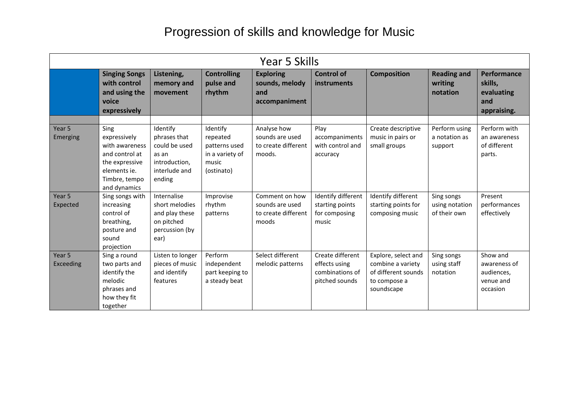|                               | Year 5 Skills                                                                                                               |                                                                                                |                                                                                 |                                                                   |                                                                        |                                                                                               |                                              |                                                                 |
|-------------------------------|-----------------------------------------------------------------------------------------------------------------------------|------------------------------------------------------------------------------------------------|---------------------------------------------------------------------------------|-------------------------------------------------------------------|------------------------------------------------------------------------|-----------------------------------------------------------------------------------------------|----------------------------------------------|-----------------------------------------------------------------|
|                               | <b>Singing Songs</b><br>with control<br>and using the<br>voice<br>expressively                                              | Listening,<br>memory and<br>movement                                                           | <b>Controlling</b><br>pulse and<br>rhythm                                       | <b>Exploring</b><br>sounds, melody<br>and<br>accompaniment        | <b>Control of</b><br>instruments                                       | <b>Composition</b>                                                                            | <b>Reading and</b><br>writing<br>notation    | Performance<br>skills,<br>evaluating<br>and<br>appraising.      |
| Year <sub>5</sub><br>Emerging | Sing<br>expressively<br>with awareness<br>and control at<br>the expressive<br>elements ie.<br>Timbre, tempo<br>and dynamics | Identify<br>phrases that<br>could be used<br>as an<br>introduction,<br>interlude and<br>ending | Identify<br>repeated<br>patterns used<br>in a variety of<br>music<br>(ostinato) | Analyse how<br>sounds are used<br>to create different<br>moods.   | Play<br>accompaniments<br>with control and<br>accuracy                 | Create descriptive<br>music in pairs or<br>small groups                                       | Perform using<br>a notation as<br>support    | Perform with<br>an awareness<br>of different<br>parts.          |
| Year 5<br>Expected            | Sing songs with<br>increasing<br>control of<br>breathing,<br>posture and<br>sound<br>projection                             | Internalise<br>short melodies<br>and play these<br>on pitched<br>percussion (by<br>ear)        | Improvise<br>rhythm<br>patterns                                                 | Comment on how<br>sounds are used<br>to create different<br>moods | Identify different<br>starting points<br>for composing<br>music        | Identify different<br>starting points for<br>composing music                                  | Sing songs<br>using notation<br>of their own | Present<br>performances<br>effectively                          |
| Year 5<br>Exceeding           | Sing a round<br>two parts and<br>identify the<br>melodic<br>phrases and<br>how they fit<br>together                         | Listen to longer<br>pieces of music<br>and identify<br>features                                | Perform<br>independent<br>part keeping to<br>a steady beat                      | Select different<br>melodic patterns                              | Create different<br>effects using<br>combinations of<br>pitched sounds | Explore, select and<br>combine a variety<br>of different sounds<br>to compose a<br>soundscape | Sing songs<br>using staff<br>notation        | Show and<br>awareness of<br>audiences,<br>venue and<br>occasion |